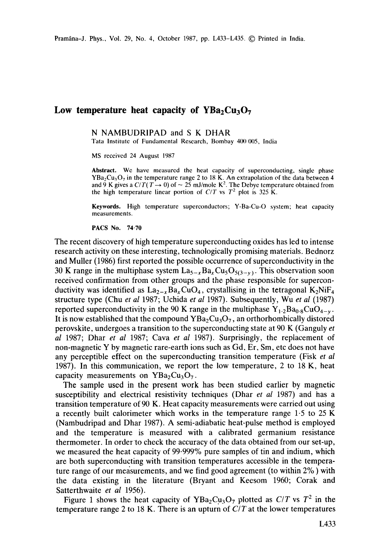## Low temperature heat capacity of  $YBa<sub>2</sub>Cu<sub>3</sub>O<sub>7</sub>$

## N NAMBUDRIPAD and S K DHAR

Tata Institute of Fundamental Research, Bombay 400 005, India

MS received 24 August 1987

Abstract. We have measured the heat capacity of superconducting, single phase  $YBa<sub>2</sub>Cu<sub>3</sub>O<sub>7</sub>$  in the temperature range 2 to 18 K. An extrapolation of the data between 4 and 9 K gives a  $C/T(T \rightarrow 0)$  of  $\sim 25$  mJ/mole K<sup>2</sup>. The Debye temperature obtained from the high temperature linear portion of  $C/T$  vs  $T^2$  plot is 325 K.

Keywords. High temperature superconductors; Y-Ba-Cu-O system; heat capacity measurements.

**PACS No. 74,70** 

The recent discovery of high temperature superconducting oxides has led to intense research activity on these interesting, technologically promising materials. Bednorz and Muller (1986) first reported the possible occurrence of superconductivity in the 30 K range in the multiphase system  $La_{5-x}Ba_xCu_5O_{5(3-y)}$ . This observation soon received confirmation from other groups and the phase responsible for superconductivity was identified as  $\text{La}_{2-x}\text{Ba}_x\text{CuO}_4$ , crystallising in the tetragonal  $\text{K}_2\text{NiF}_4$ structure type (Chu *et al* 1987; Uchida *et al* 1987). Subsequently, Wu *et al* (1987) reported superconductivity in the 90 K range in the multiphase  $Y_{1,2}Ba_{0.8}CuO_{4-\nu}$ . It is now established that the compound  $YBa<sub>2</sub>Cu<sub>3</sub>O<sub>7</sub>$ , an orthorhombically distored perovskite, undergoes a transition to the superconducting state at 90 K (Ganguly *et al* 1987; Dhar *et al* 1987; Cava *et al* 1987). Surprisingly, the replacement of non-magnetic Y by magnetic rare-earth ions such as Gd, Er, Sm, etc does not have any perceptible effect on the superconducting transition temperature (Fisk *et al*  1987). In this communication, we report the low temperature, 2 to 18 K, heat capacity measurements on  $YBa<sub>2</sub>Cu<sub>3</sub>O<sub>7</sub>$ .

The sample used in the present work has been studied earlier by magnetic susceptibility and electrical resistivity techniques (Dhar *et al* 1987) and has a transition temperature of 90 K. Heat capacity measurements were carried out using a recently built calorimeter which works in the temperature range 1-5 to 25 K (Nambudripad and Dhar 1987). A semi-adiabatic heat-pulse method is employed and the temperature is measured with a calibrated germanium resistance thermometer. In order to check the accuracy of the data obtained from our set-up, we measured the heat capacity of 99-999% pure samples of tin and indium, which are both superconducting with transition temperatures accessible in the temperature range of our measurements, and we find good agreement (to within 2% ) with the data existing in the literature (Bryant and Keesom 1960; Corak and Satterthwaite *et al* 1956).

Figure 1 shows the heat capacity of  $YBa_2Cu_3O_7$  plotted as  $C/T$  vs  $T^2$  in the temperature range 2 to 18 K. There is an upturn of *C/T* at the lower temperatures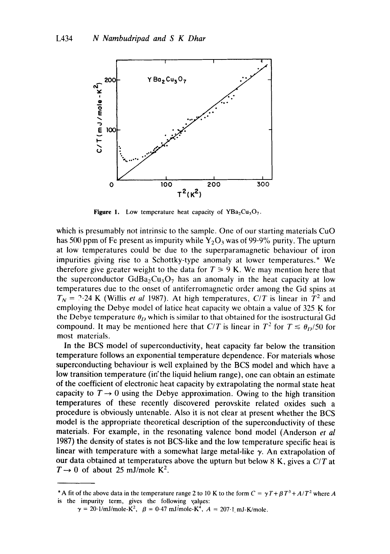

**Figure 1.** Low temperature heat capacity of  $YBa<sub>2</sub>Cu<sub>3</sub>O<sub>7</sub>$ .

which is presumably not intrinsic to the sample. One of our starting materials CuO has 500 ppm of Fe present as impurity while  $Y_2O_3$  was of 99.9% purity. The upturn at low temperatures could be due to the superparamagnetic behaviour of iron impurities giving rise to a Schottky-type anomaly at lower temperatures.\* We therefore give greater weight to the data for  $T \geq 9$  K. We may mention here that the superconductor  $GdBa_2Cu_3O_7$  has an anomaly in the heat capacity at low temperatures due to the onset of antiferromagnetic order among the Gd spins at  $T_N$  = ?-24 K (Willis *et al* 1987). At high temperatures, *C/T* is linear in  $T^2$  and employing the Debye model of latice heat capacity we obtain a value of 325 K for the Debye temperature  $\theta_D$  which is similar to that obtained for the isostructural Gd compound. It may be mentioned here that *C/T* is linear in  $T^2$  for  $T \le \theta_D/50$  for most materials.

In the BCS model of superconductivity, heat capacity far below the transition temperature follows an exponential temperature dependence. For materials whose superconducting behaviour is well explained by the BCS model and which have a low transition temperature (in'the liquid helium range), one can obtain an estimate of the coefficient of electronic heat capacity by extrapolating the normal state heat capacity to  $T \rightarrow 0$  using the Debye approximation. Owing to the high transition temperatures of these recently discovered perovskite related oxides such a procedure is obviously untenable. Also it is not clear at present whether the BCS model is the appropriate theoretical description of the superconductivity of these materials. For example, in the resonating valence bond model (Anderson *et al*  1987) the density of states is not BCS-like and the low temperature specific heat is linear with temperature with a somewhat large metal-like  $\gamma$ . An extrapolation of our data obtained at temperatures above the upturn but below 8 K, gives a *C/T* at  $T \rightarrow 0$  of about 25 mJ/mole K<sup>2</sup>.

<sup>\*</sup> A fit of the above data in the temperature range 2 to 10 K to the form  $C = \gamma T + \beta T^3 + A/T^2$  where A is the impurity term, gives the following values:

 $\gamma = 20 \cdot 1/\text{mJ/mole-K}^2$ ,  $\beta = 0.47 \text{ mJ/mole-K}^4$ ,  $A = 207 \cdot 1 \text{ mJ-K/mole}$ .